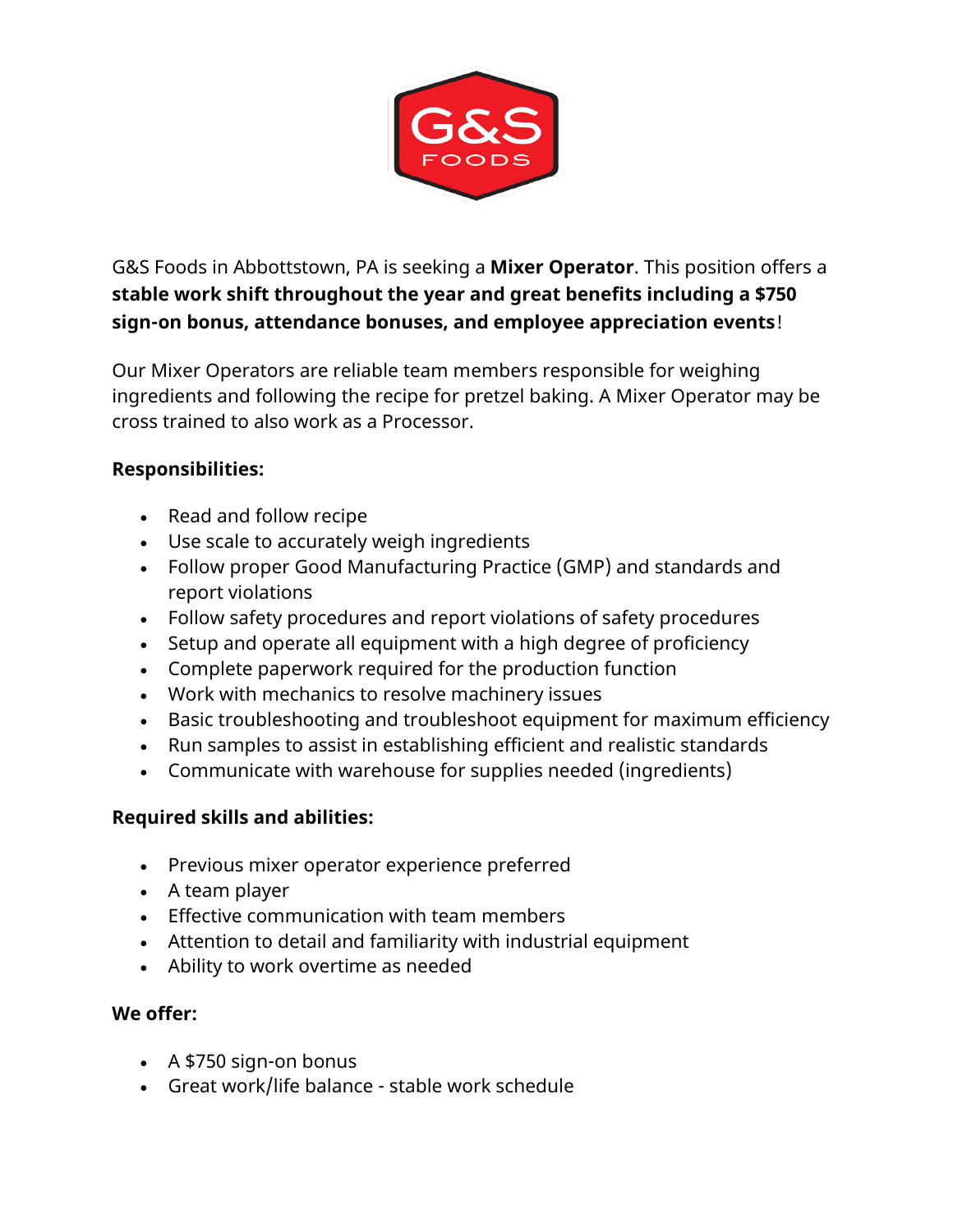

G&S Foods in Abbottstown, PA is seeking a **Mixer Operator**. This position offers a **stable work shift throughout the year and great benefits including a \$750 sign-on bonus, attendance bonuses, and employee appreciation events**!

Our Mixer Operators are reliable team members responsible for weighing ingredients and following the recipe for pretzel baking. A Mixer Operator may be cross trained to also work as a Processor.

## **Responsibilities:**

- Read and follow recipe
- Use scale to accurately weigh ingredients
- Follow proper Good Manufacturing Practice (GMP) and standards and report violations
- Follow safety procedures and report violations of safety procedures
- Setup and operate all equipment with a high degree of proficiency
- Complete paperwork required for the production function
- Work with mechanics to resolve machinery issues
- Basic troubleshooting and troubleshoot equipment for maximum efficiency
- Run samples to assist in establishing efficient and realistic standards
- Communicate with warehouse for supplies needed (ingredients)

## **Required skills and abilities:**

- Previous mixer operator experience preferred
- A team player
- Effective communication with team members
- Attention to detail and familiarity with industrial equipment
- Ability to work overtime as needed

## **We offer:**

- A \$750 sign-on bonus
- Great work/life balance stable work schedule